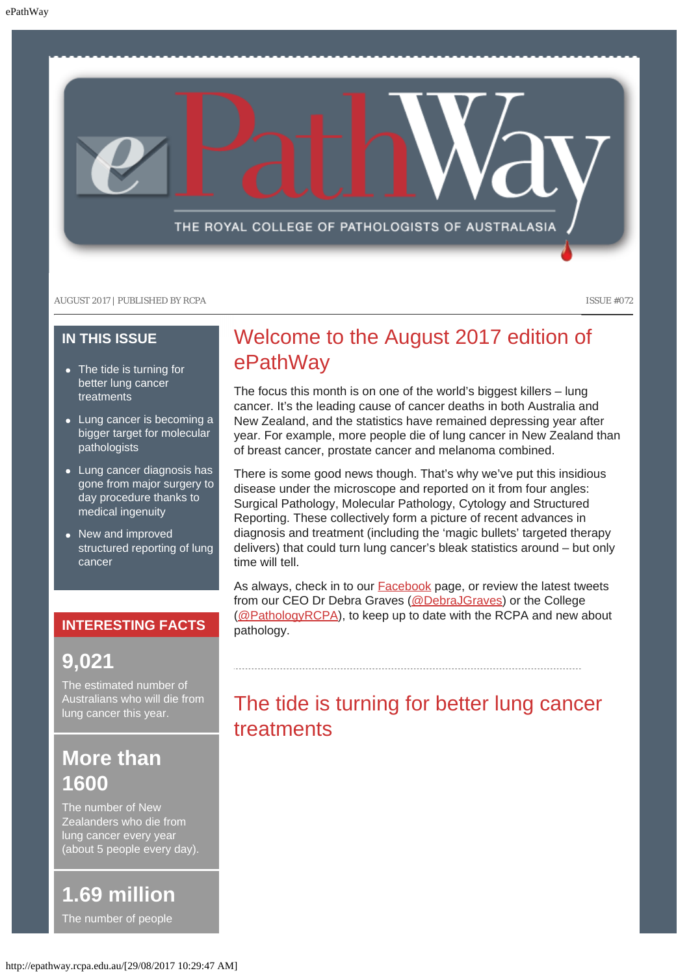

### **IN THIS ISSUE**

- [The tide is turning for](#page-0-0) [better lung cancer](#page-0-0) [treatments](#page-0-0)
- [Lung cancer is becoming a](#page-1-0) [bigger target for molecular](#page-1-0) [pathologists](#page-1-0)
- [Lung cancer diagnosis has](#page-2-0) [gone from major surgery to](#page-2-0) [day procedure thanks to](#page-2-0) [medical ingenuity](#page-2-0)
- [New and improved](#page-2-1) [structured reporting of lung](#page-2-1) [cancer](#page-2-1)

### **INTERESTING FACTS**

### **9,021**

The estimated number of Australians who will die from lung cancer this year.

## <span id="page-0-0"></span>**More than 1600**

The number of New Zealanders who die from lung cancer every year (about 5 people every day).

**1.69 million**

The number of people

## Welcome to the August 2017 edition of ePathWay

The focus this month is on one of the world's biggest killers – lung cancer. It's the leading cause of cancer deaths in both Australia and New Zealand, and the statistics have remained depressing year after year. For example, more people die of lung cancer in New Zealand than of breast cancer, prostate cancer and melanoma combined.

There is some good news though. That's why we've put this insidious disease under the microscope and reported on it from four angles: Surgical Pathology, Molecular Pathology, Cytology and Structured Reporting. These collectively form a picture of recent advances in diagnosis and treatment (including the 'magic bullets' targeted therapy delivers) that could turn lung cancer's bleak statistics around – but only time will tell.

As always, check in to our **Facebook** page, or review the latest tweets from our CEO Dr Debra Graves [\(@DebraJGraves](https://twitter.com/search?q=%40debrajgraves&src=typd)) or the College [\(@PathologyRCPA](https://twitter.com/pathologyrcpa)), to keep up to date with the RCPA and new about pathology.

## The tide is turning for better lung cancer treatments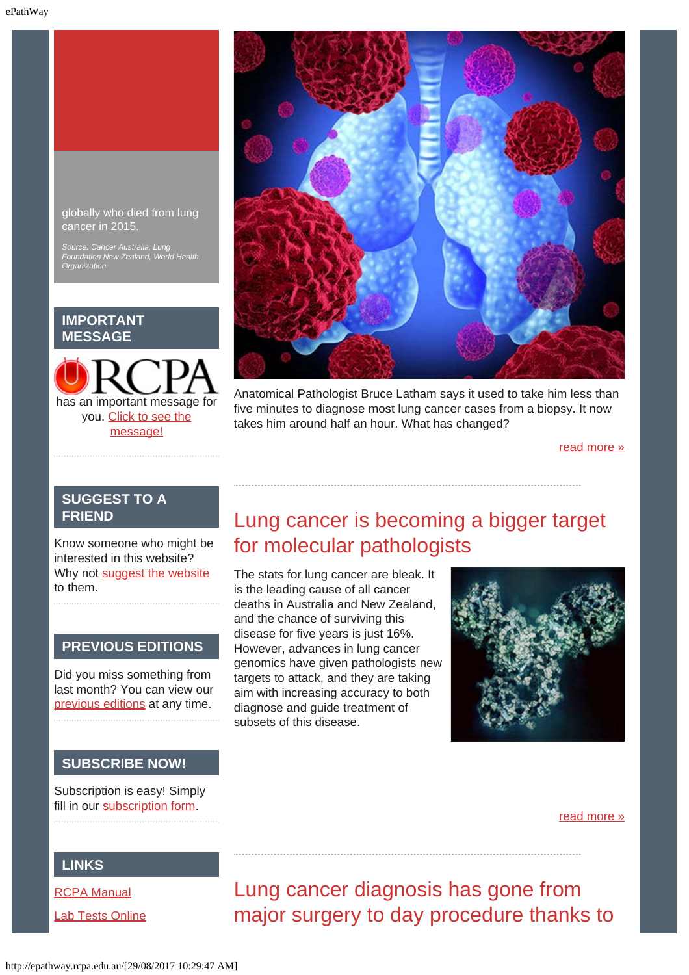

*Source: Cancer Australia, Lung Foundation New Zealand, World Health Organization*

### **IMPORTANT MESSAGE**





Anatomical Pathologist Bruce Latham says it used to take him less than five minutes to diagnose most lung cancer cases from a biopsy. It now takes him around half an hour. What has changed?

[read more »](#page-5-0)

### **SUGGEST TO A FRIEND**

<span id="page-1-0"></span>Know someone who might be interested in this website? Why not [suggest the website](mailto:?Subject=I%20think%20you%20should%20read%20this%20Newsletter=
http://epathway.rcpa.edu.au/index.html) to them.

### **PREVIOUS EDITIONS**

Did you miss something from last month? You can view our [previous editions](#page-3-0) at any time.

### **SUBSCRIBE NOW!**

Subscription is easy! Simply fill in our [subscription form.](http://epathway.rcpa.edu.au/subscription.html)

## Lung cancer is becoming a bigger target for molecular pathologists

The stats for lung cancer are bleak. It is the leading cause of all cancer deaths in Australia and New Zealand, and the chance of surviving this disease for five years is just 16%. However, advances in lung cancer genomics have given pathologists new targets to attack, and they are taking aim with increasing accuracy to both diagnose and guide treatment of subsets of this disease.



[read more »](#page-7-0)

### **LINKS**

[RCPA Manual](http://rcpamanual.edu.au/)

**[Lab Tests Online](http://www.labtestsonline.org.au/)** 

Lung cancer diagnosis has gone from major surgery to day procedure thanks to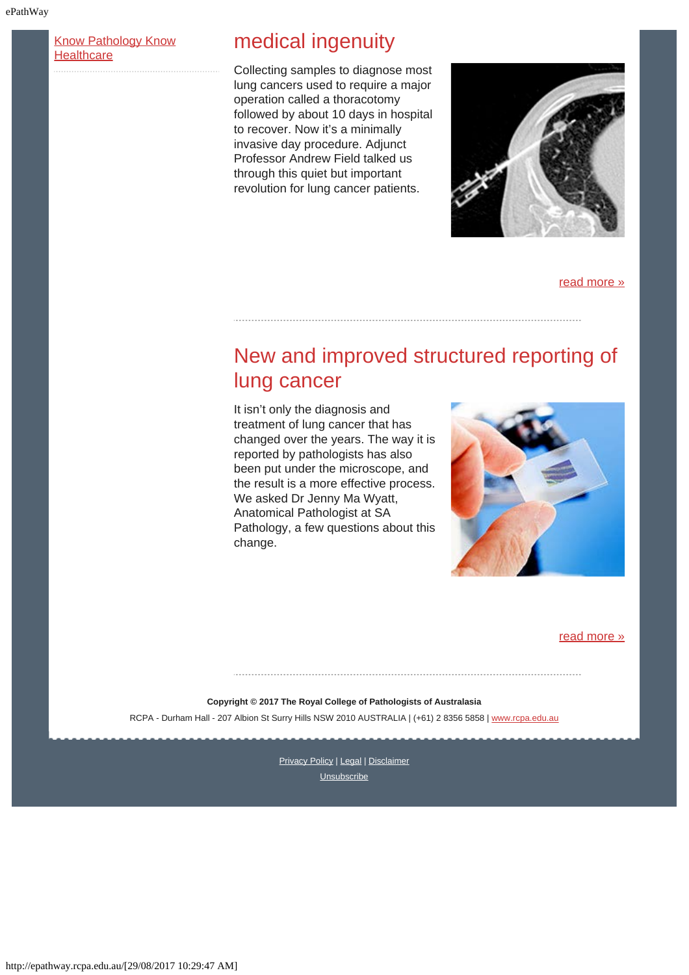[Know Pathology Know](http://knowpathology.com.au/)

# <span id="page-2-0"></span>Know Pathology Know **medical ingenuity**<br>[Healthcare](http://knowpathology.com.au/)

Collecting samples to diagnose most lung cancers used to require a major operation called a thoracotomy followed by about 10 days in hospital to recover. Now it's a minimally invasive day procedure. Adjunct Professor Andrew Field talked us through this quiet but important revolution for lung cancer patients.



[read more »](#page-9-0)

## <span id="page-2-1"></span>New and improved structured reporting of lung cancer

It isn't only the diagnosis and treatment of lung cancer that has changed over the years. The way it is reported by pathologists has also been put under the microscope, and the result is a more effective process. We asked Dr Jenny Ma Wyatt, Anatomical Pathologist at SA Pathology, a few questions about this change.



#### [read more »](#page-12-0)

**Copyright © 2017 The Royal College of Pathologists of Australasia**

RCPA - Durham Hall - 207 Albion St Surry Hills NSW 2010 AUSTRALIA | (+61) 2 8356 5858 | [www.rcpa.edu.au](https://www.rcpa.edu.au/)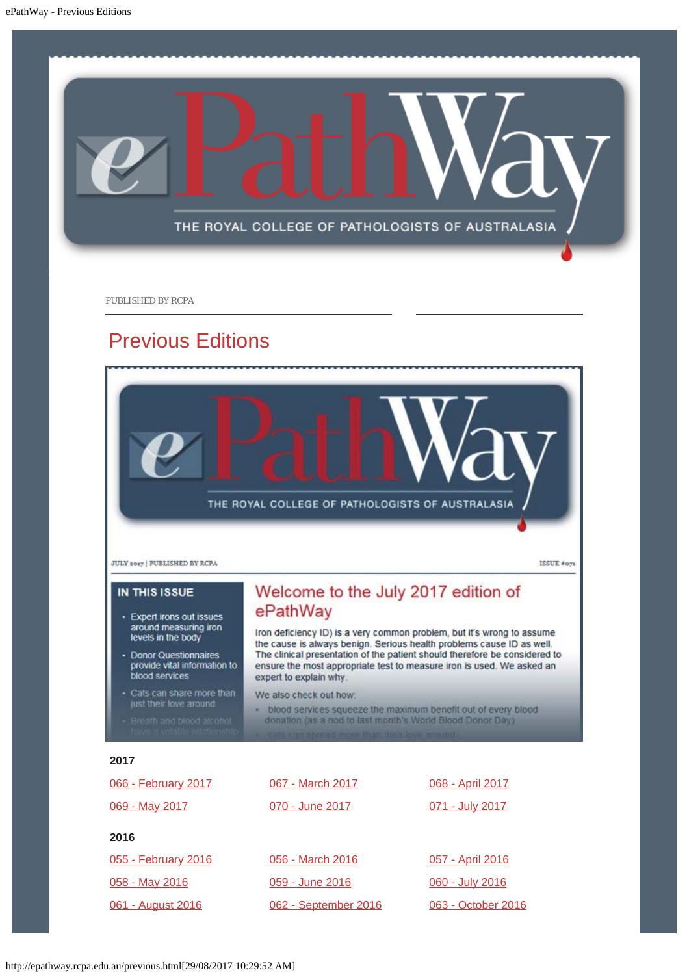<span id="page-3-0"></span>

PUBLISHED BY RCPA

## Previous Editions



**JULY 2017 | PUBLISHED BY RCPA** 

### **IN THIS ISSUE**

- Expert irons out issues around measuring iron levels in the body
- Donor Questionnaires<br>provide vital information to blood services

just their love around

expert to explain why. - Cats can share more than

We also check out how:

ePathWay

· blood services squeeze the maximum benefit out of every blood donation (as a nod to last month's World Blood Donor Day)

Iron deficiency ID) is a very common problem, but it's wrong to assume

the cause is always benign. Serious health problems cause ID as well. The clinical presentation of the patient should therefore be considered to

ensure the most appropriate test to measure iron is used. We asked an

Welcome to the July 2017 edition of

ISSUE #071

#### **2017**

| 066 - February 2017 | 067 - March 2017     | <u>068 - April 2017</u> |
|---------------------|----------------------|-------------------------|
| 069 - May 2017      | 070 - June 2017      | <u>071 - July 2017</u>  |
| 2016                |                      |                         |
| 055 - February 2016 | 056 - March 2016     | <u>057 - April 2016</u> |
| 058 - May 2016      | 059 - June 2016      | 060 - July 2016         |
| 061 - August 2016   | 062 - September 2016 | 063 - October 2016      |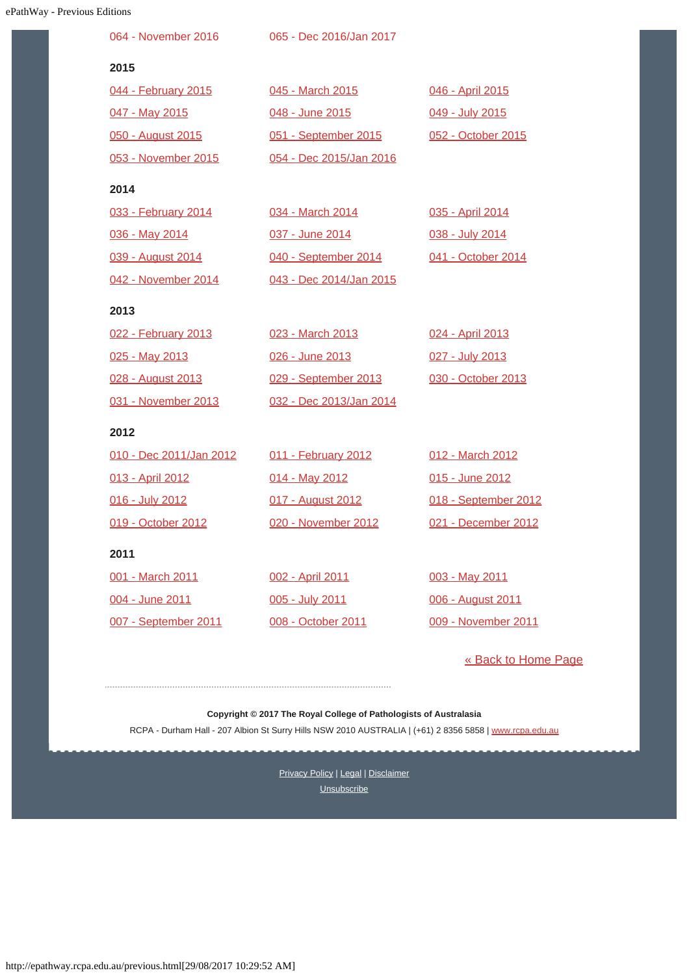| Way - Previous Editions |                         |                      |
|-------------------------|-------------------------|----------------------|
| 064 - November 2016     | 065 - Dec 2016/Jan 2017 |                      |
| 2015                    |                         |                      |
| 044 - February 2015     | 045 - March 2015        | 046 - April 2015     |
| 047 - May 2015          | 048 - June 2015         | 049 - July 2015      |
| 050 - August 2015       | 051 - September 2015    | 052 - October 2015   |
| 053 - November 2015     | 054 - Dec 2015/Jan 2016 |                      |
| 2014                    |                         |                      |
| 033 - February 2014     | 034 - March 2014        | 035 - April 2014     |
| 036 - May 2014          | 037 - June 2014         | 038 - July 2014      |
| 039 - August 2014       | 040 - September 2014    | 041 - October 2014   |
| 042 - November 2014     | 043 - Dec 2014/Jan 2015 |                      |
| 2013                    |                         |                      |
| 022 - February 2013     | 023 - March 2013        | 024 - April 2013     |
| 025 - May 2013          | 026 - June 2013         | 027 - July 2013      |
| 028 - August 2013       | 029 - September 2013    | 030 - October 2013   |
| 031 - November 2013     | 032 - Dec 2013/Jan 2014 |                      |
| 2012                    |                         |                      |
| 010 - Dec 2011/Jan 2012 | 011 - February 2012     | 012 - March 2012     |
| 013 - April 2012        | 014 - May 2012          | 015 - June 2012      |
| 016 - July 2012         | 017 - August 2012       | 018 - September 2012 |
| 019 - October 2012      | 020 - November 2012     | 021 - December 2012  |
| 2011                    |                         |                      |
| 001 - March 2011        | 002 - April 2011        | 003 - May 2011       |
| 004 - June 2011         | 005 - July 2011         | 006 - August 2011    |
| 007 - September 2011    | 008 - October 2011      | 009 - November 2011  |

[« Back to Home Page](http://epathway.rcpa.edu.au/index.html)

**Copyright © 2017 The Royal College of Pathologists of Australasia** RCPA - Durham Hall - 207 Albion St Surry Hills NSW 2010 AUSTRALIA | (+61) 2 8356 5858 | [www.rcpa.edu.au](https://www.rcpa.edu.au/)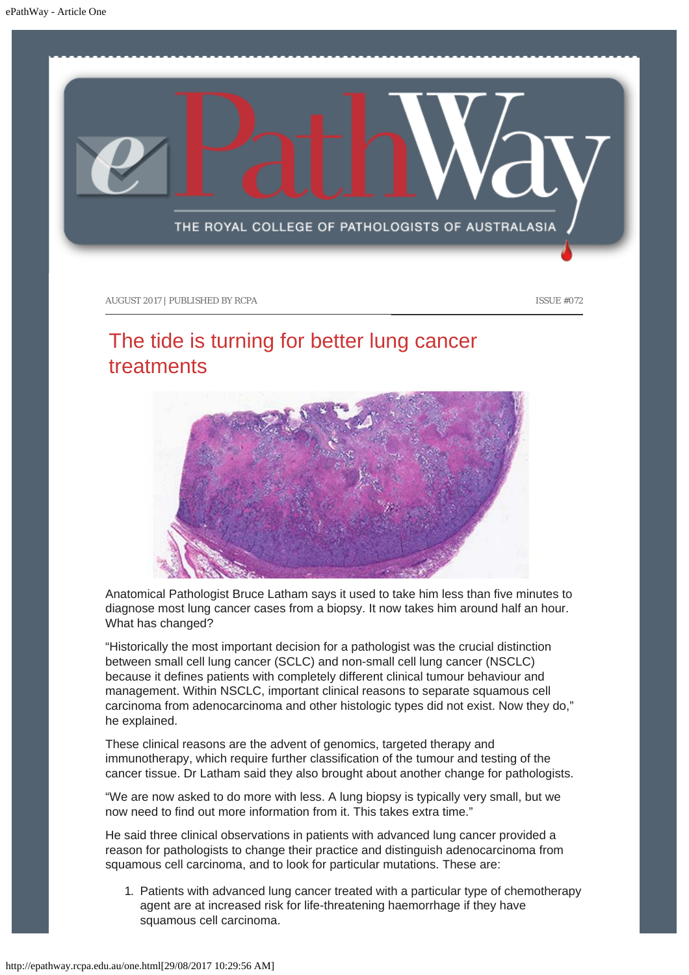<span id="page-5-0"></span>

### The tide is turning for better lung cancer treatments



Anatomical Pathologist Bruce Latham says it used to take him less than five minutes to diagnose most lung cancer cases from a biopsy. It now takes him around half an hour. What has changed?

"Historically the most important decision for a pathologist was the crucial distinction between small cell lung cancer (SCLC) and non-small cell lung cancer (NSCLC) because it defines patients with completely different clinical tumour behaviour and management. Within NSCLC, important clinical reasons to separate squamous cell carcinoma from adenocarcinoma and other histologic types did not exist. Now they do," he explained.

These clinical reasons are the advent of genomics, targeted therapy and immunotherapy, which require further classification of the tumour and testing of the cancer tissue. Dr Latham said they also brought about another change for pathologists.

"We are now asked to do more with less. A lung biopsy is typically very small, but we now need to find out more information from it. This takes extra time."

He said three clinical observations in patients with advanced lung cancer provided a reason for pathologists to change their practice and distinguish adenocarcinoma from squamous cell carcinoma, and to look for particular mutations. These are:

1. Patients with advanced lung cancer treated with a particular type of chemotherapy agent are at increased risk for life-threatening haemorrhage if they have squamous cell carcinoma.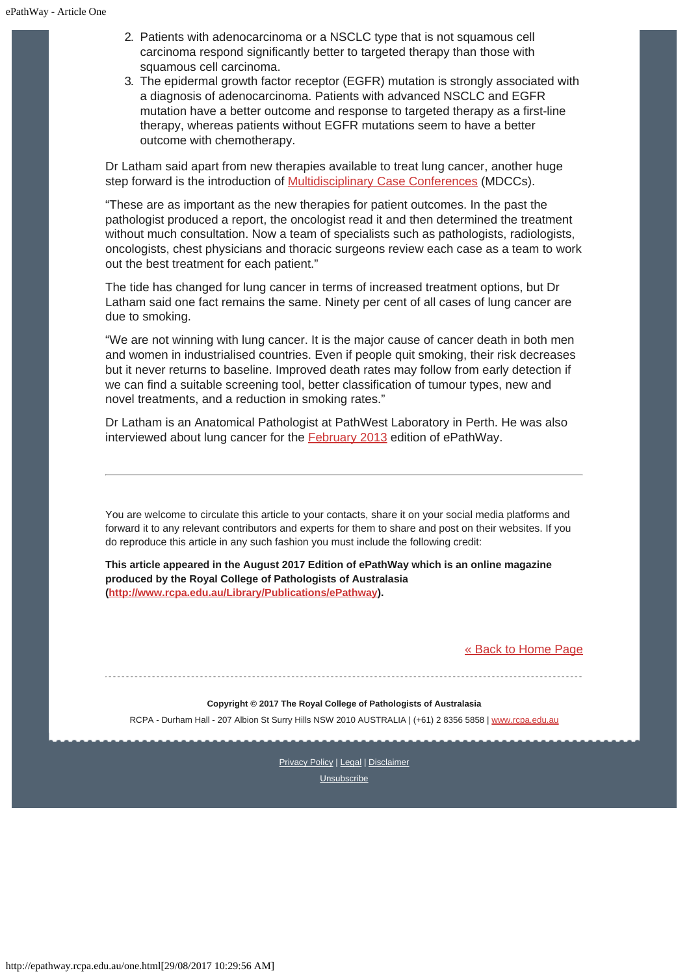- 2. Patients with adenocarcinoma or a NSCLC type that is not squamous cell carcinoma respond significantly better to targeted therapy than those with squamous cell carcinoma.
- 3. The epidermal growth factor receptor (EGFR) mutation is strongly associated with a diagnosis of adenocarcinoma. Patients with advanced NSCLC and EGFR mutation have a better outcome and response to targeted therapy as a first-line therapy, whereas patients without EGFR mutations seem to have a better outcome with chemotherapy.

Dr Latham said apart from new therapies available to treat lung cancer, another huge step forward is the introduction of **Multidisciplinary Case Conferences** (MDCCs).

"These are as important as the new therapies for patient outcomes. In the past the pathologist produced a report, the oncologist read it and then determined the treatment without much consultation. Now a team of specialists such as pathologists, radiologists, oncologists, chest physicians and thoracic surgeons review each case as a team to work out the best treatment for each patient."

The tide has changed for lung cancer in terms of increased treatment options, but Dr Latham said one fact remains the same. Ninety per cent of all cases of lung cancer are due to smoking.

"We are not winning with lung cancer. It is the major cause of cancer death in both men and women in industrialised countries. Even if people quit smoking, their risk decreases but it never returns to baseline. Improved death rates may follow from early detection if we can find a suitable screening tool, better classification of tumour types, new and novel treatments, and a reduction in smoking rates."

Dr Latham is an Anatomical Pathologist at PathWest Laboratory in Perth. He was also interviewed about lung cancer for the **February 2013** edition of ePathWay.

You are welcome to circulate this article to your contacts, share it on your social media platforms and forward it to any relevant contributors and experts for them to share and post on their websites. If you do reproduce this article in any such fashion you must include the following credit:

**This article appeared in the August 2017 Edition of ePathWay which is an online magazine produced by the Royal College of Pathologists of Australasia [\(http://www.rcpa.edu.au/Library/Publications/ePathway](http://www.rcpa.edu.au/Library/Publications/ePathway)).**

[« Back to Home Page](http://epathway.rcpa.edu.au/index.html)

**Copyright © 2017 The Royal College of Pathologists of Australasia** RCPA - Durham Hall - 207 Albion St Surry Hills NSW 2010 AUSTRALIA | (+61) 2 8356 5858 | [www.rcpa.edu.au](https://www.rcpa.edu.au/)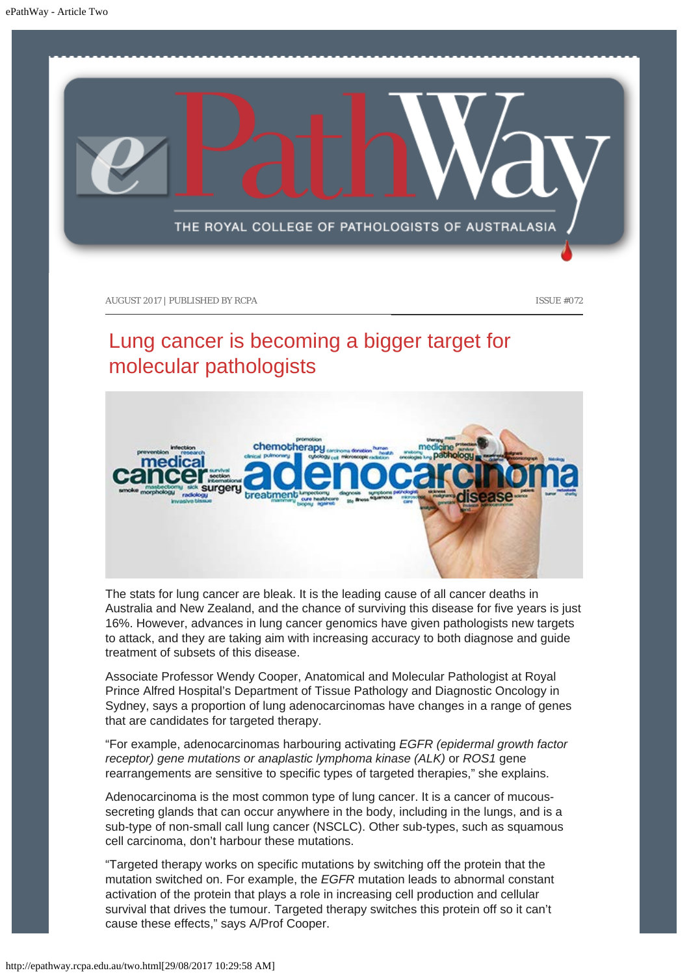<span id="page-7-0"></span>

## Lung cancer is becoming a bigger target for molecular pathologists



The stats for lung cancer are bleak. It is the leading cause of all cancer deaths in Australia and New Zealand, and the chance of surviving this disease for five years is just 16%. However, advances in lung cancer genomics have given pathologists new targets to attack, and they are taking aim with increasing accuracy to both diagnose and guide treatment of subsets of this disease.

Associate Professor Wendy Cooper, Anatomical and Molecular Pathologist at Royal Prince Alfred Hospital's Department of Tissue Pathology and Diagnostic Oncology in Sydney, says a proportion of lung adenocarcinomas have changes in a range of genes that are candidates for targeted therapy.

"For example, adenocarcinomas harbouring activating *EGFR (epidermal growth factor receptor) gene mutations or anaplastic lymphoma kinase (ALK)* or *ROS1* gene rearrangements are sensitive to specific types of targeted therapies," she explains.

Adenocarcinoma is the most common type of lung cancer. It is a cancer of mucoussecreting glands that can occur anywhere in the body, including in the lungs, and is a sub-type of non-small call lung cancer (NSCLC). Other sub-types, such as squamous cell carcinoma, don't harbour these mutations.

"Targeted therapy works on specific mutations by switching off the protein that the mutation switched on. For example, the *EGFR* mutation leads to abnormal constant activation of the protein that plays a role in increasing cell production and cellular survival that drives the tumour. Targeted therapy switches this protein off so it can't cause these effects," says A/Prof Cooper.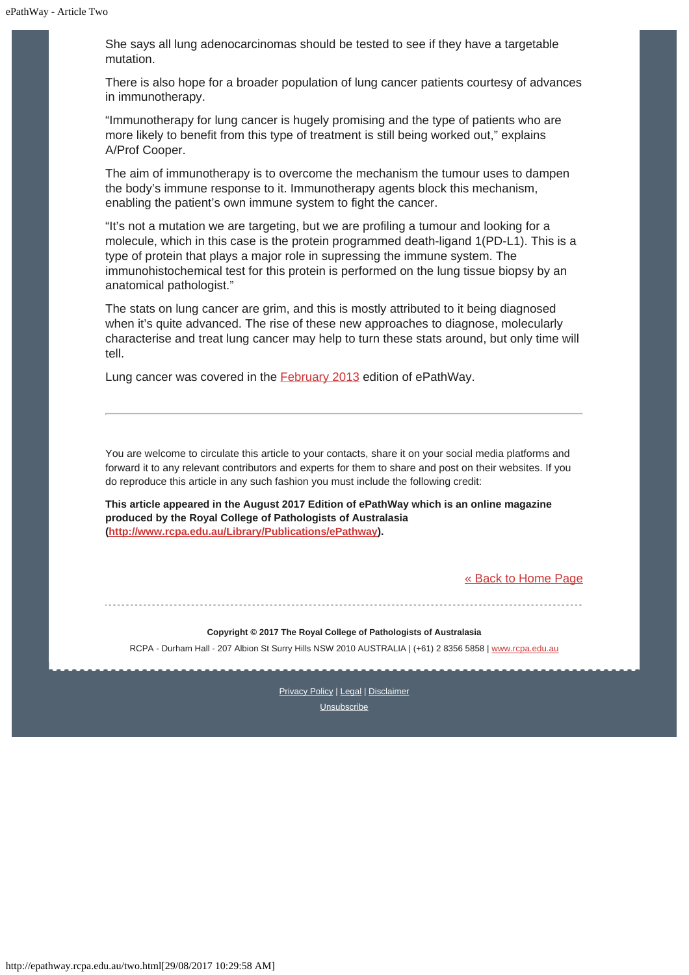She says all lung adenocarcinomas should be tested to see if they have a targetable mutation.

There is also hope for a broader population of lung cancer patients courtesy of advances in immunotherapy.

"Immunotherapy for lung cancer is hugely promising and the type of patients who are more likely to benefit from this type of treatment is still being worked out," explains A/Prof Cooper.

The aim of immunotherapy is to overcome the mechanism the tumour uses to dampen the body's immune response to it. Immunotherapy agents block this mechanism, enabling the patient's own immune system to fight the cancer.

"It's not a mutation we are targeting, but we are profiling a tumour and looking for a molecule, which in this case is the protein programmed death-ligand 1(PD-L1). This is a type of protein that plays a major role in supressing the immune system. The immunohistochemical test for this protein is performed on the lung tissue biopsy by an anatomical pathologist."

The stats on lung cancer are grim, and this is mostly attributed to it being diagnosed when it's quite advanced. The rise of these new approaches to diagnose, molecularly characterise and treat lung cancer may help to turn these stats around, but only time will tell.

Lung cancer was covered in the [February 2013](http://www.rcpa.edu.au/getattachment/6af88620-5404-4e8d-8edd-d7a08a7c9e4e/ePathway-Issue-022.aspx) edition of ePathWay.

You are welcome to circulate this article to your contacts, share it on your social media platforms and forward it to any relevant contributors and experts for them to share and post on their websites. If you do reproduce this article in any such fashion you must include the following credit:

**This article appeared in the August 2017 Edition of ePathWay which is an online magazine produced by the Royal College of Pathologists of Australasia [\(http://www.rcpa.edu.au/Library/Publications/ePathway](http://www.rcpa.edu.au/Library/Publications/ePathway)).**

[« Back to Home Page](http://epathway.rcpa.edu.au/index.html)

**Copyright © 2017 The Royal College of Pathologists of Australasia**

RCPA - Durham Hall - 207 Albion St Surry Hills NSW 2010 AUSTRALIA | (+61) 2 8356 5858 | [www.rcpa.edu.au](https://www.rcpa.edu.au/)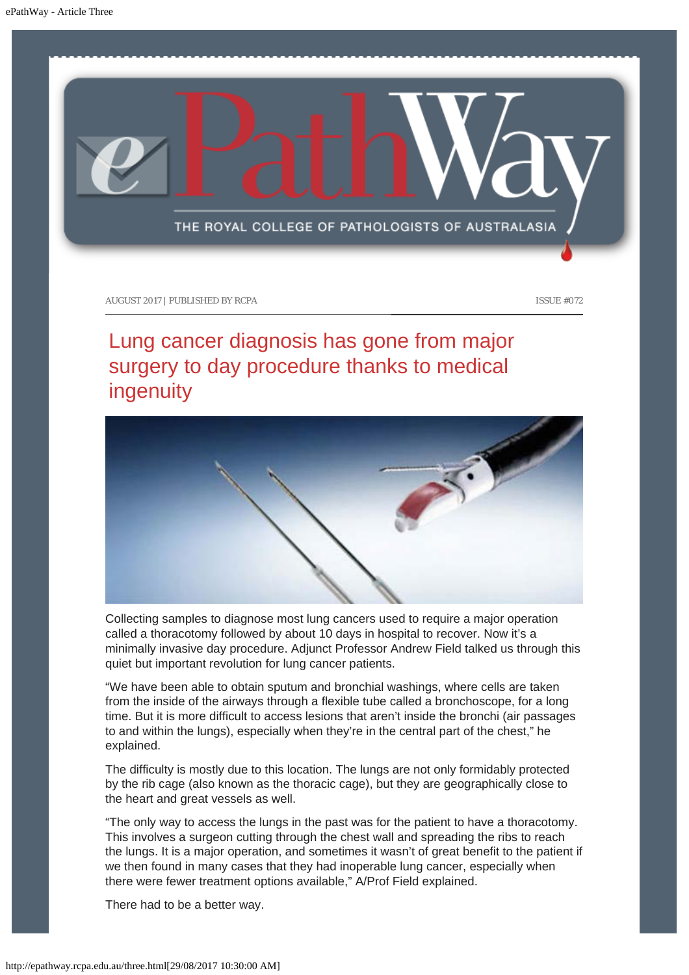<span id="page-9-0"></span>

## Lung cancer diagnosis has gone from major surgery to day procedure thanks to medical ingenuity



Collecting samples to diagnose most lung cancers used to require a major operation called a thoracotomy followed by about 10 days in hospital to recover. Now it's a minimally invasive day procedure. Adjunct Professor Andrew Field talked us through this quiet but important revolution for lung cancer patients.

"We have been able to obtain sputum and bronchial washings, where cells are taken from the inside of the airways through a flexible tube called a bronchoscope, for a long time. But it is more difficult to access lesions that aren't inside the bronchi (air passages to and within the lungs), especially when they're in the central part of the chest," he explained.

The difficulty is mostly due to this location. The lungs are not only formidably protected by the rib cage (also known as the thoracic cage), but they are geographically close to the heart and great vessels as well.

"The only way to access the lungs in the past was for the patient to have a thoracotomy. This involves a surgeon cutting through the chest wall and spreading the ribs to reach the lungs. It is a major operation, and sometimes it wasn't of great benefit to the patient if we then found in many cases that they had inoperable lung cancer, especially when there were fewer treatment options available," A/Prof Field explained.

There had to be a better way.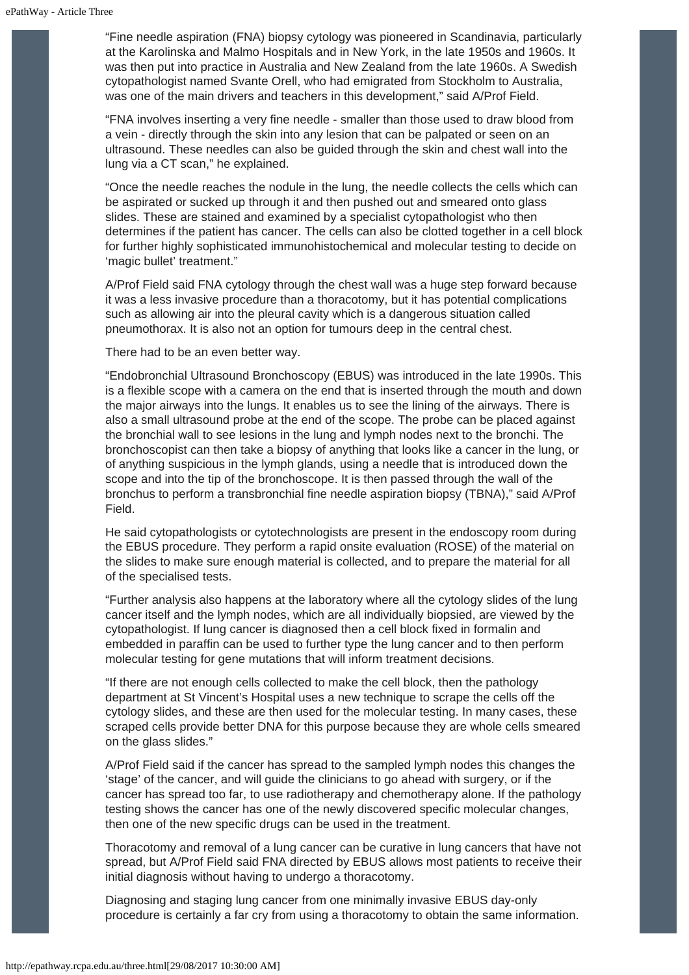"Fine needle aspiration (FNA) biopsy cytology was pioneered in Scandinavia, particularly at the Karolinska and Malmo Hospitals and in New York, in the late 1950s and 1960s. It was then put into practice in Australia and New Zealand from the late 1960s. A Swedish cytopathologist named Svante Orell, who had emigrated from Stockholm to Australia, was one of the main drivers and teachers in this development," said A/Prof Field.

"FNA involves inserting a very fine needle - smaller than those used to draw blood from a vein - directly through the skin into any lesion that can be palpated or seen on an ultrasound. These needles can also be guided through the skin and chest wall into the lung via a CT scan," he explained.

"Once the needle reaches the nodule in the lung, the needle collects the cells which can be aspirated or sucked up through it and then pushed out and smeared onto glass slides. These are stained and examined by a specialist cytopathologist who then determines if the patient has cancer. The cells can also be clotted together in a cell block for further highly sophisticated immunohistochemical and molecular testing to decide on 'magic bullet' treatment."

A/Prof Field said FNA cytology through the chest wall was a huge step forward because it was a less invasive procedure than a thoracotomy, but it has potential complications such as allowing air into the pleural cavity which is a dangerous situation called pneumothorax. It is also not an option for tumours deep in the central chest.

There had to be an even better way.

"Endobronchial Ultrasound Bronchoscopy (EBUS) was introduced in the late 1990s. This is a flexible scope with a camera on the end that is inserted through the mouth and down the major airways into the lungs. It enables us to see the lining of the airways. There is also a small ultrasound probe at the end of the scope. The probe can be placed against the bronchial wall to see lesions in the lung and lymph nodes next to the bronchi. The bronchoscopist can then take a biopsy of anything that looks like a cancer in the lung, or of anything suspicious in the lymph glands, using a needle that is introduced down the scope and into the tip of the bronchoscope. It is then passed through the wall of the bronchus to perform a transbronchial fine needle aspiration biopsy (TBNA)," said A/Prof Field.

He said cytopathologists or cytotechnologists are present in the endoscopy room during the EBUS procedure. They perform a rapid onsite evaluation (ROSE) of the material on the slides to make sure enough material is collected, and to prepare the material for all of the specialised tests.

"Further analysis also happens at the laboratory where all the cytology slides of the lung cancer itself and the lymph nodes, which are all individually biopsied, are viewed by the cytopathologist. If lung cancer is diagnosed then a cell block fixed in formalin and embedded in paraffin can be used to further type the lung cancer and to then perform molecular testing for gene mutations that will inform treatment decisions.

"If there are not enough cells collected to make the cell block, then the pathology department at St Vincent's Hospital uses a new technique to scrape the cells off the cytology slides, and these are then used for the molecular testing. In many cases, these scraped cells provide better DNA for this purpose because they are whole cells smeared on the glass slides."

A/Prof Field said if the cancer has spread to the sampled lymph nodes this changes the 'stage' of the cancer, and will guide the clinicians to go ahead with surgery, or if the cancer has spread too far, to use radiotherapy and chemotherapy alone. If the pathology testing shows the cancer has one of the newly discovered specific molecular changes, then one of the new specific drugs can be used in the treatment.

Thoracotomy and removal of a lung cancer can be curative in lung cancers that have not spread, but A/Prof Field said FNA directed by EBUS allows most patients to receive their initial diagnosis without having to undergo a thoracotomy.

Diagnosing and staging lung cancer from one minimally invasive EBUS day-only procedure is certainly a far cry from using a thoracotomy to obtain the same information.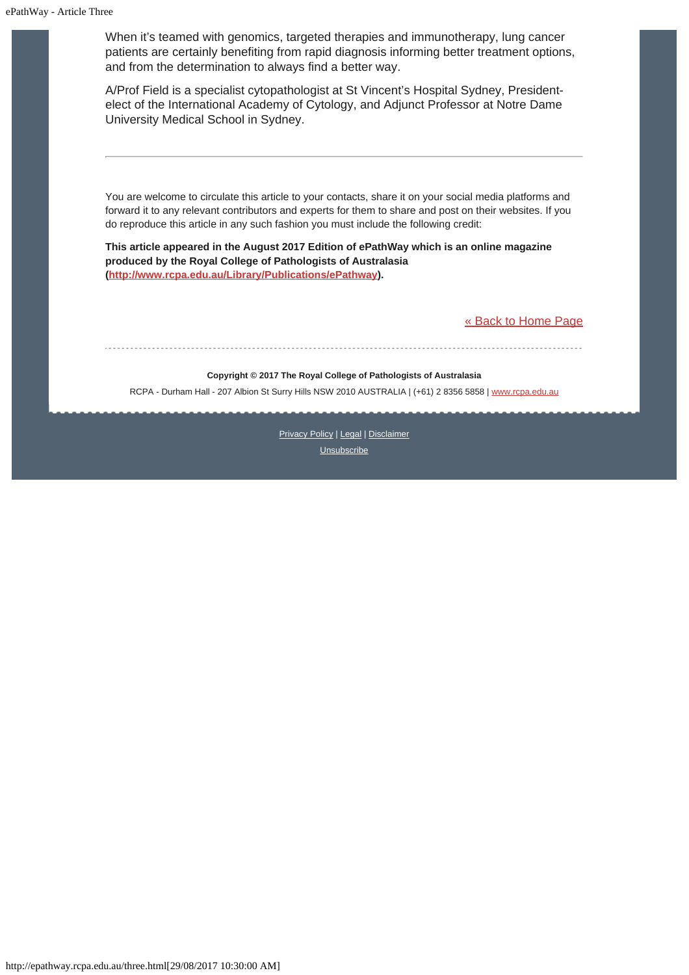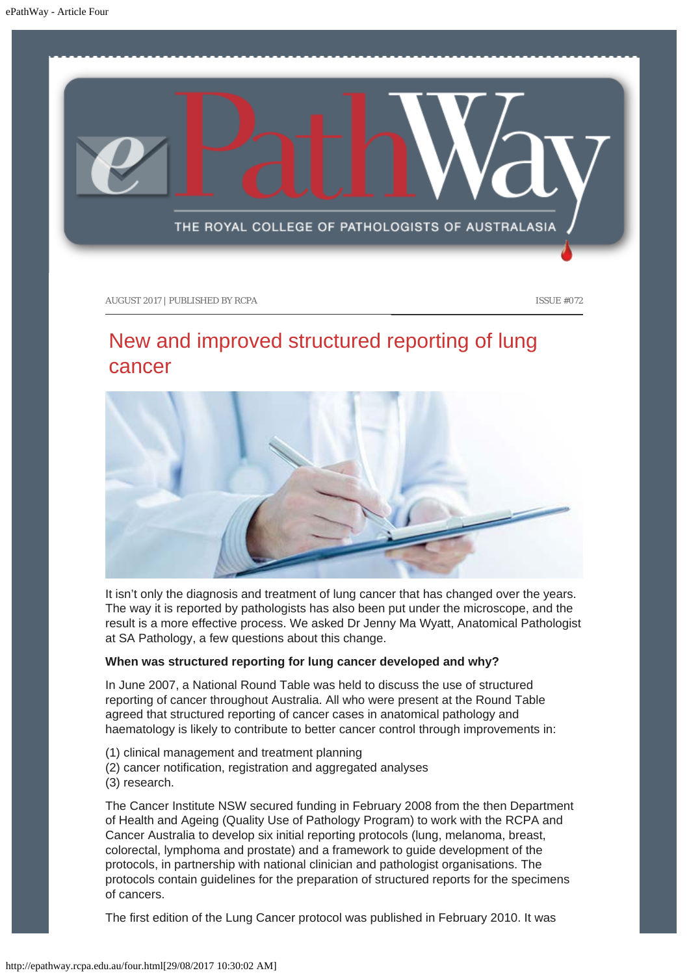<span id="page-12-0"></span>

## New and improved structured reporting of lung cancer



It isn't only the diagnosis and treatment of lung cancer that has changed over the years. The way it is reported by pathologists has also been put under the microscope, and the result is a more effective process. We asked Dr Jenny Ma Wyatt, Anatomical Pathologist at SA Pathology, a few questions about this change.

#### **When was structured reporting for lung cancer developed and why?**

In June 2007, a National Round Table was held to discuss the use of structured reporting of cancer throughout Australia. All who were present at the Round Table agreed that structured reporting of cancer cases in anatomical pathology and haematology is likely to contribute to better cancer control through improvements in:

- (1) clinical management and treatment planning
- (2) cancer notification, registration and aggregated analyses
- (3) research.

The Cancer Institute NSW secured funding in February 2008 from the then Department of Health and Ageing (Quality Use of Pathology Program) to work with the RCPA and Cancer Australia to develop six initial reporting protocols (lung, melanoma, breast, colorectal, lymphoma and prostate) and a framework to guide development of the protocols, in partnership with national clinician and pathologist organisations. The protocols contain guidelines for the preparation of structured reports for the specimens of cancers.

The first edition of the Lung Cancer protocol was published in February 2010. It was